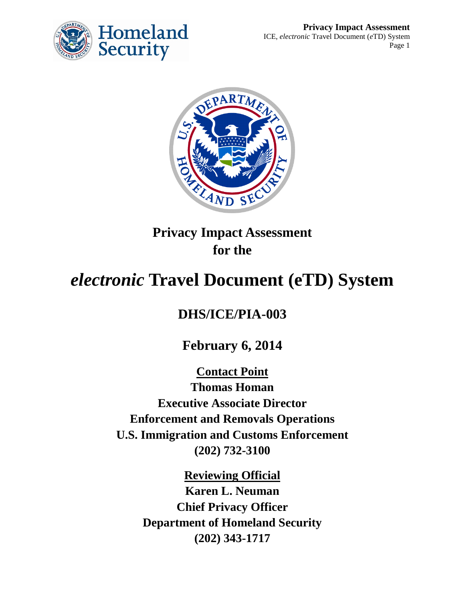



**Privacy Impact Assessment for the**

# *electronic* **Travel Document (eTD) System**

## **DHS/ICE/PIA-003**

**February 6, 2014**

**Contact Point Thomas Homan Executive Associate Director Enforcement and Removals Operations U.S. Immigration and Customs Enforcement (202) 732-3100**

> **Reviewing Official Karen L. Neuman Chief Privacy Officer Department of Homeland Security (202) 343-1717**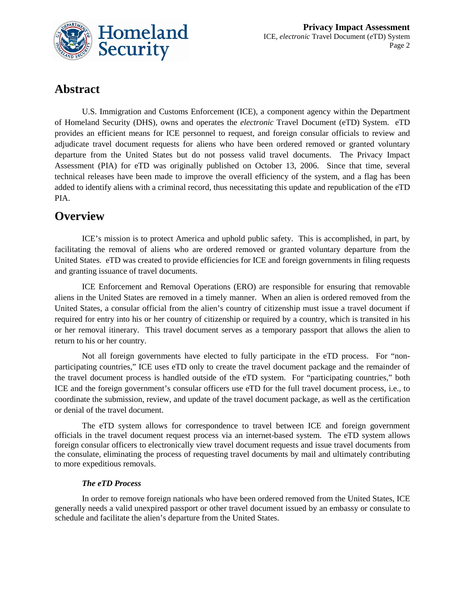

### **Abstract**

U.S. Immigration and Customs Enforcement (ICE), a component agency within the Department of Homeland Security (DHS), owns and operates the *electronic* Travel Document (eTD) System. eTD provides an efficient means for ICE personnel to request, and foreign consular officials to review and adjudicate travel document requests for aliens who have been ordered removed or granted voluntary departure from the United States but do not possess valid travel documents. The Privacy Impact Assessment (PIA) for eTD was originally published on October 13, 2006. Since that time, several technical releases have been made to improve the overall efficiency of the system, and a flag has been added to identify aliens with a criminal record, thus necessitating this update and republication of the eTD PIA.

### **Overview**

ICE's mission is to protect America and uphold public safety. This is accomplished, in part, by facilitating the removal of aliens who are ordered removed or granted voluntary departure from the United States. eTD was created to provide efficiencies for ICE and foreign governments in filing requests and granting issuance of travel documents.

ICE Enforcement and Removal Operations (ERO) are responsible for ensuring that removable aliens in the United States are removed in a timely manner. When an alien is ordered removed from the United States, a consular official from the alien's country of citizenship must issue a travel document if required for entry into his or her country of citizenship or required by a country, which is transited in his or her removal itinerary. This travel document serves as a temporary passport that allows the alien to return to his or her country.

Not all foreign governments have elected to fully participate in the eTD process. For "nonparticipating countries," ICE uses eTD only to create the travel document package and the remainder of the travel document process is handled outside of the eTD system. For "participating countries," both ICE and the foreign government's consular officers use eTD for the full travel document process, i.e., to coordinate the submission, review, and update of the travel document package, as well as the certification or denial of the travel document.

The eTD system allows for correspondence to travel between ICE and foreign government officials in the travel document request process via an internet-based system. The eTD system allows foreign consular officers to electronically view travel document requests and issue travel documents from the consulate, eliminating the process of requesting travel documents by mail and ultimately contributing to more expeditious removals.

#### *The eTD Process*

In order to remove foreign nationals who have been ordered removed from the United States, ICE generally needs a valid unexpired passport or other travel document issued by an embassy or consulate to schedule and facilitate the alien's departure from the United States.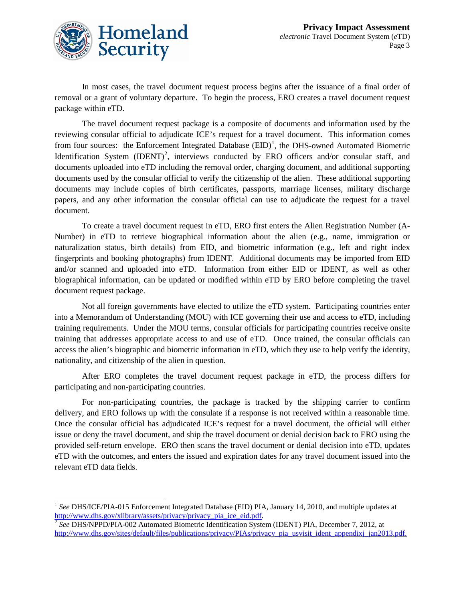

In most cases, the travel document request process begins after the issuance of a final order of removal or a grant of voluntary departure. To begin the process, ERO creates a travel document request package within eTD.

The travel document request package is a composite of documents and information used by the reviewing consular official to adjudicate ICE's request for a travel document. This information comes from four sources: the Enforcement Integrated Database  $(EID)^1$  $(EID)^1$ , the DHS-owned Automated Biometric Identification System  $(IDENT)^2$  $(IDENT)^2$ , interviews conducted by ERO officers and/or consular staff, and documents uploaded into eTD including the removal order, charging document, and additional supporting documents used by the consular official to verify the citizenship of the alien. These additional supporting documents may include copies of birth certificates, passports, marriage licenses, military discharge papers, and any other information the consular official can use to adjudicate the request for a travel document.

To create a travel document request in eTD, ERO first enters the Alien Registration Number (A-Number) in eTD to retrieve biographical information about the alien (e.g., name, immigration or naturalization status, birth details) from EID, and biometric information (e.g., left and right index fingerprints and booking photographs) from IDENT. Additional documents may be imported from EID and/or scanned and uploaded into eTD. Information from either EID or IDENT, as well as other biographical information, can be updated or modified within eTD by ERO before completing the travel document request package.

Not all foreign governments have elected to utilize the eTD system. Participating countries enter into a Memorandum of Understanding (MOU) with ICE governing their use and access to eTD, including training requirements. Under the MOU terms, consular officials for participating countries receive onsite training that addresses appropriate access to and use of eTD. Once trained, the consular officials can access the alien's biographic and biometric information in eTD, which they use to help verify the identity, nationality, and citizenship of the alien in question.

After ERO completes the travel document request package in eTD, the process differs for participating and non-participating countries.

For non-participating countries, the package is tracked by the shipping carrier to confirm delivery, and ERO follows up with the consulate if a response is not received within a reasonable time. Once the consular official has adjudicated ICE's request for a travel document, the official will either issue or deny the travel document, and ship the travel document or denial decision back to ERO using the provided self-return envelope. ERO then scans the travel document or denial decision into eTD, updates eTD with the outcomes, and enters the issued and expiration dates for any travel document issued into the relevant eTD data fields.

<span id="page-2-0"></span><sup>&</sup>lt;sup>1</sup> See DHS/ICE/PIA-015 Enforcement Integrated Database (EID) PIA, January 14, 2010, and multiple updates at http://www.dhs.gov/xlibrary/assets/privacy/privacy pia\_ice\_eid.pdf.  $\overline{a}$ 

<span id="page-2-1"></span><sup>&</sup>lt;sup>2</sup> See DHS/NPPD/PIA-002 Automated Biometric Identification System (IDENT) PIA, December 7, 2012, at [http://www.dhs.gov/sites/default/files/publications/privacy/PIAs/privacy\\_pia\\_usvisit\\_ident\\_appendixj\\_jan2013.pdf.](http://www.dhs.gov/sites/default/files/publications/privacy/PIAs/privacy_pia_usvisit_ident_appendixj_jan2013.pdf)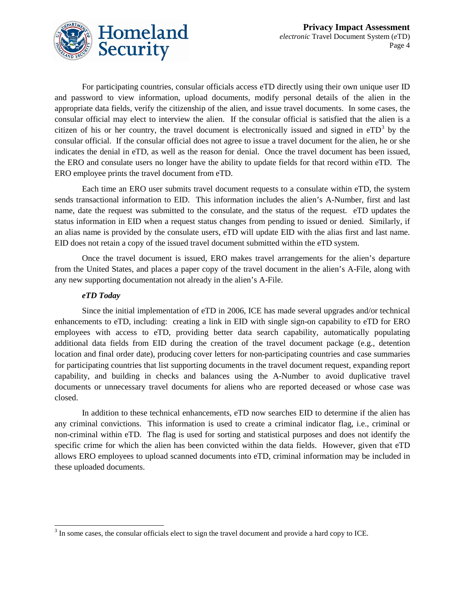

For participating countries, consular officials access eTD directly using their own unique user ID and password to view information, upload documents, modify personal details of the alien in the appropriate data fields, verify the citizenship of the alien, and issue travel documents. In some cases, the consular official may elect to interview the alien. If the consular official is satisfied that the alien is a citizen of his or her country, the travel document is electronically issued and signed in  $eTD<sup>3</sup>$  $eTD<sup>3</sup>$  $eTD<sup>3</sup>$  by the consular official. If the consular official does not agree to issue a travel document for the alien, he or she indicates the denial in eTD, as well as the reason for denial. Once the travel document has been issued, the ERO and consulate users no longer have the ability to update fields for that record within eTD. The ERO employee prints the travel document from eTD.

Each time an ERO user submits travel document requests to a consulate within eTD, the system sends transactional information to EID. This information includes the alien's A-Number, first and last name, date the request was submitted to the consulate, and the status of the request. eTD updates the status information in EID when a request status changes from pending to issued or denied. Similarly, if an alias name is provided by the consulate users, eTD will update EID with the alias first and last name. EID does not retain a copy of the issued travel document submitted within the eTD system.

Once the travel document is issued, ERO makes travel arrangements for the alien's departure from the United States, and places a paper copy of the travel document in the alien's A-File, along with any new supporting documentation not already in the alien's A-File.

#### *eTD Today*

Since the initial implementation of eTD in 2006, ICE has made several upgrades and/or technical enhancements to eTD, including: creating a link in EID with single sign-on capability to eTD for ERO employees with access to eTD, providing better data search capability, automatically populating additional data fields from EID during the creation of the travel document package (e.g., detention location and final order date), producing cover letters for non-participating countries and case summaries for participating countries that list supporting documents in the travel document request, expanding report capability, and building in checks and balances using the A-Number to avoid duplicative travel documents or unnecessary travel documents for aliens who are reported deceased or whose case was closed.

In addition to these technical enhancements, eTD now searches EID to determine if the alien has any criminal convictions. This information is used to create a criminal indicator flag, i.e., criminal or non-criminal within eTD. The flag is used for sorting and statistical purposes and does not identify the specific crime for which the alien has been convicted within the data fields. However, given that eTD allows ERO employees to upload scanned documents into eTD, criminal information may be included in these uploaded documents.

<span id="page-3-0"></span> $3$  In some cases, the consular officials elect to sign the travel document and provide a hard copy to ICE.  $\overline{a}$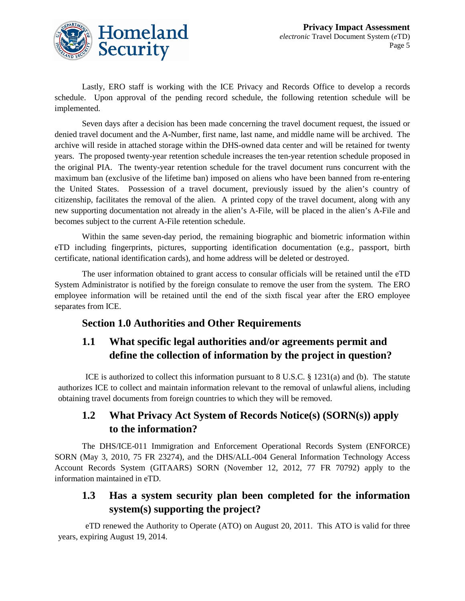

Lastly, ERO staff is working with the ICE Privacy and Records Office to develop a records schedule. Upon approval of the pending record schedule, the following retention schedule will be implemented.

Seven days after a decision has been made concerning the travel document request, the issued or denied travel document and the A-Number, first name, last name, and middle name will be archived. The archive will reside in attached storage within the DHS-owned data center and will be retained for twenty years. The proposed twenty-year retention schedule increases the ten-year retention schedule proposed in the original PIA. The twenty-year retention schedule for the travel document runs concurrent with the maximum ban (exclusive of the lifetime ban) imposed on aliens who have been banned from re-entering the United States. Possession of a travel document, previously issued by the alien's country of citizenship, facilitates the removal of the alien. A printed copy of the travel document, along with any new supporting documentation not already in the alien's A-File, will be placed in the alien's A-File and becomes subject to the current A-File retention schedule.

Within the same seven-day period, the remaining biographic and biometric information within eTD including fingerprints, pictures, supporting identification documentation (e.g., passport, birth certificate, national identification cards), and home address will be deleted or destroyed.

The user information obtained to grant access to consular officials will be retained until the eTD System Administrator is notified by the foreign consulate to remove the user from the system. The ERO employee information will be retained until the end of the sixth fiscal year after the ERO employee separates from ICE.

#### **Section 1.0 Authorities and Other Requirements**

### **1.1 What specific legal authorities and/or agreements permit and define the collection of information by the project in question?**

ICE is authorized to collect this information pursuant to 8 U.S.C. § 1231(a) and (b). The statute authorizes ICE to collect and maintain information relevant to the removal of unlawful aliens, including obtaining travel documents from foreign countries to which they will be removed.

### **1.2 What Privacy Act System of Records Notice(s) (SORN(s)) apply to the information?**

The DHS/ICE-011 Immigration and Enforcement Operational Records System (ENFORCE) SORN (May 3, 2010, 75 FR 23274), and the DHS/ALL-004 General Information Technology Access Account Records System (GITAARS) SORN (November 12, 2012, 77 FR 70792) apply to the information maintained in eTD.

### **1.3 Has a system security plan been completed for the information system(s) supporting the project?**

eTD renewed the Authority to Operate (ATO) on August 20, 2011. This ATO is valid for three years, expiring August 19, 2014.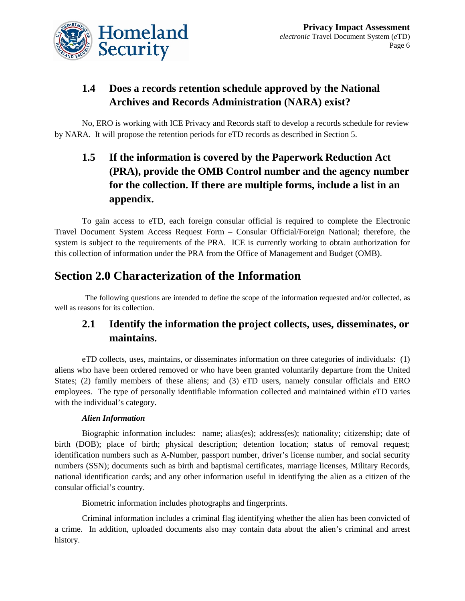

### **1.4 Does a records retention schedule approved by the National Archives and Records Administration (NARA) exist?**

No, ERO is working with ICE Privacy and Records staff to develop a records schedule for review by NARA. It will propose the retention periods for eTD records as described in Section 5.

## **1.5 If the information is covered by the Paperwork Reduction Act (PRA), provide the OMB Control number and the agency number for the collection. If there are multiple forms, include a list in an appendix.**

To gain access to eTD, each foreign consular official is required to complete the Electronic Travel Document System Access Request Form – Consular Official/Foreign National; therefore, the system is subject to the requirements of the PRA. ICE is currently working to obtain authorization for this collection of information under the PRA from the Office of Management and Budget (OMB).

## **Section 2.0 Characterization of the Information**

The following questions are intended to define the scope of the information requested and/or collected, as well as reasons for its collection.

### **2.1 Identify the information the project collects, uses, disseminates, or maintains.**

eTD collects, uses, maintains, or disseminates information on three categories of individuals: (1) aliens who have been ordered removed or who have been granted voluntarily departure from the United States; (2) family members of these aliens; and (3) eTD users, namely consular officials and ERO employees. The type of personally identifiable information collected and maintained within eTD varies with the individual's category.

#### *Alien Information*

Biographic information includes: name; alias(es); address(es); nationality; citizenship; date of birth (DOB); place of birth; physical description; detention location; status of removal request; identification numbers such as A-Number, passport number, driver's license number, and social security numbers (SSN); documents such as birth and baptismal certificates, marriage licenses, Military Records, national identification cards; and any other information useful in identifying the alien as a citizen of the consular official's country.

Biometric information includes photographs and fingerprints.

Criminal information includes a criminal flag identifying whether the alien has been convicted of a crime. In addition, uploaded documents also may contain data about the alien's criminal and arrest history.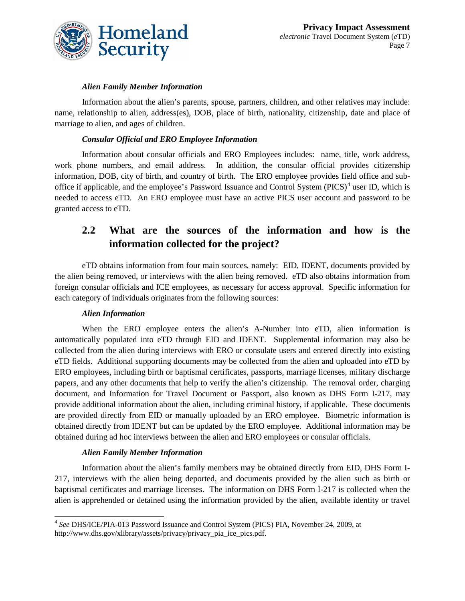

#### *Alien Family Member Information*

Information about the alien's parents, spouse, partners, children, and other relatives may include: name, relationship to alien, address(es), DOB, place of birth, nationality, citizenship, date and place of marriage to alien, and ages of children.

#### *Consular Official and ERO Employee Information*

Information about consular officials and ERO Employees includes: name, title, work address, work phone numbers, and email address. In addition, the consular official provides citizenship information, DOB, city of birth, and country of birth. The ERO employee provides field office and suboffice if applicable, and the employee's Password Issuance and Control System ( $\text{PICS}$ )<sup>[4](#page-6-0)</sup> user ID, which is needed to access eTD. An ERO employee must have an active PICS user account and password to be granted access to eTD.

### **2.2 What are the sources of the information and how is the information collected for the project?**

eTD obtains information from four main sources, namely: EID, IDENT, documents provided by the alien being removed, or interviews with the alien being removed. eTD also obtains information from foreign consular officials and ICE employees, as necessary for access approval. Specific information for each category of individuals originates from the following sources:

#### *Alien Information*

When the ERO employee enters the alien's A-Number into eTD, alien information is automatically populated into eTD through EID and IDENT. Supplemental information may also be collected from the alien during interviews with ERO or consulate users and entered directly into existing eTD fields. Additional supporting documents may be collected from the alien and uploaded into eTD by ERO employees, including birth or baptismal certificates, passports, marriage licenses, military discharge papers, and any other documents that help to verify the alien's citizenship. The removal order, charging document, and Information for Travel Document or Passport, also known as DHS Form I-217, may provide additional information about the alien, including criminal history, if applicable. These documents are provided directly from EID or manually uploaded by an ERO employee. Biometric information is obtained directly from IDENT but can be updated by the ERO employee. Additional information may be obtained during ad hoc interviews between the alien and ERO employees or consular officials.

#### *Alien Family Member Information*

Information about the alien's family members may be obtained directly from EID, DHS Form I-217, interviews with the alien being deported, and documents provided by the alien such as birth or baptismal certificates and marriage licenses. The information on DHS Form I-217 is collected when the alien is apprehended or detained using the information provided by the alien, available identity or travel

<span id="page-6-0"></span><sup>4</sup> *See* DHS/ICE/PIA-013 Password Issuance and Control System (PICS) PIA, November 24, 2009, at http://www.dhs.gov/xlibrary/assets/privacy/privacy\_pia\_ice\_pics.pdf.  $\overline{a}$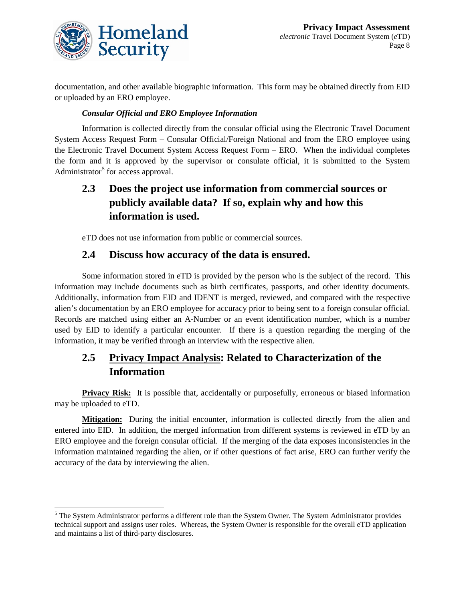

 $\overline{a}$ 

documentation, and other available biographic information. This form may be obtained directly from EID or uploaded by an ERO employee.

#### *Consular Official and ERO Employee Information*

Information is collected directly from the consular official using the Electronic Travel Document System Access Request Form – Consular Official/Foreign National and from the ERO employee using the Electronic Travel Document System Access Request Form – ERO. When the individual completes the form and it is approved by the supervisor or consulate official, it is submitted to the System Administrator<sup>[5](#page-7-0)</sup> for access approval.

### **2.3 Does the project use information from commercial sources or publicly available data? If so, explain why and how this information is used.**

eTD does not use information from public or commercial sources.

#### **2.4 Discuss how accuracy of the data is ensured.**

Some information stored in eTD is provided by the person who is the subject of the record. This information may include documents such as birth certificates, passports, and other identity documents. Additionally, information from EID and IDENT is merged, reviewed, and compared with the respective alien's documentation by an ERO employee for accuracy prior to being sent to a foreign consular official. Records are matched using either an A-Number or an event identification number, which is a number used by EID to identify a particular encounter. If there is a question regarding the merging of the information, it may be verified through an interview with the respective alien.

### **2.5 Privacy Impact Analysis: Related to Characterization of the Information**

**Privacy Risk:** It is possible that, accidentally or purposefully, erroneous or biased information may be uploaded to eTD.

**Mitigation:** During the initial encounter, information is collected directly from the alien and entered into EID. In addition, the merged information from different systems is reviewed in eTD by an ERO employee and the foreign consular official. If the merging of the data exposes inconsistencies in the information maintained regarding the alien, or if other questions of fact arise, ERO can further verify the accuracy of the data by interviewing the alien.

<span id="page-7-0"></span><sup>&</sup>lt;sup>5</sup> The System Administrator performs a different role than the System Owner. The System Administrator provides technical support and assigns user roles. Whereas, the System Owner is responsible for the overall eTD application and maintains a list of third-party disclosures.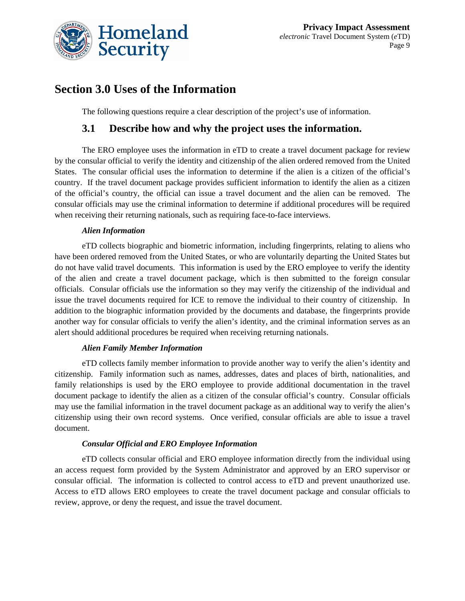

### **Section 3.0 Uses of the Information**

The following questions require a clear description of the project's use of information.

#### **3.1 Describe how and why the project uses the information.**

The ERO employee uses the information in eTD to create a travel document package for review by the consular official to verify the identity and citizenship of the alien ordered removed from the United States. The consular official uses the information to determine if the alien is a citizen of the official's country. If the travel document package provides sufficient information to identify the alien as a citizen of the official's country, the official can issue a travel document and the alien can be removed. The consular officials may use the criminal information to determine if additional procedures will be required when receiving their returning nationals, such as requiring face-to-face interviews.

#### *Alien Information*

eTD collects biographic and biometric information, including fingerprints, relating to aliens who have been ordered removed from the United States, or who are voluntarily departing the United States but do not have valid travel documents. This information is used by the ERO employee to verify the identity of the alien and create a travel document package, which is then submitted to the foreign consular officials. Consular officials use the information so they may verify the citizenship of the individual and issue the travel documents required for ICE to remove the individual to their country of citizenship. In addition to the biographic information provided by the documents and database, the fingerprints provide another way for consular officials to verify the alien's identity, and the criminal information serves as an alert should additional procedures be required when receiving returning nationals.

#### *Alien Family Member Information*

eTD collects family member information to provide another way to verify the alien's identity and citizenship. Family information such as names, addresses, dates and places of birth, nationalities, and family relationships is used by the ERO employee to provide additional documentation in the travel document package to identify the alien as a citizen of the consular official's country. Consular officials may use the familial information in the travel document package as an additional way to verify the alien's citizenship using their own record systems. Once verified, consular officials are able to issue a travel document.

#### *Consular Official and ERO Employee Information*

eTD collects consular official and ERO employee information directly from the individual using an access request form provided by the System Administrator and approved by an ERO supervisor or consular official. The information is collected to control access to eTD and prevent unauthorized use. Access to eTD allows ERO employees to create the travel document package and consular officials to review, approve, or deny the request, and issue the travel document.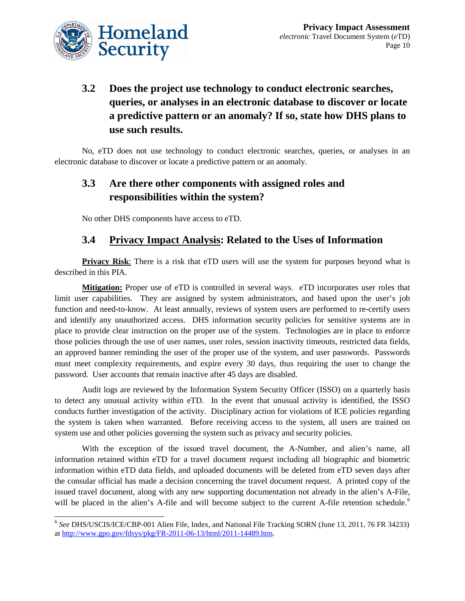

## **3.2 Does the project use technology to conduct electronic searches, queries, or analyses in an electronic database to discover or locate a predictive pattern or an anomaly? If so, state how DHS plans to use such results.**

No, eTD does not use technology to conduct electronic searches, queries, or analyses in an electronic database to discover or locate a predictive pattern or an anomaly.

### **3.3 Are there other components with assigned roles and responsibilities within the system?**

No other DHS components have access to eTD.

#### **3.4 Privacy Impact Analysis: Related to the Uses of Information**

**Privacy Risk:** There is a risk that eTD users will use the system for purposes beyond what is described in this PIA.

**Mitigation:** Proper use of eTD is controlled in several ways. eTD incorporates user roles that limit user capabilities. They are assigned by system administrators, and based upon the user's job function and need-to-know. At least annually, reviews of system users are performed to re-certify users and identify any unauthorized access. DHS information security policies for sensitive systems are in place to provide clear instruction on the proper use of the system. Technologies are in place to enforce those policies through the use of user names, user roles, session inactivity timeouts, restricted data fields, an approved banner reminding the user of the proper use of the system, and user passwords. Passwords must meet complexity requirements, and expire every 30 days, thus requiring the user to change the password. User accounts that remain inactive after 45 days are disabled.

Audit logs are reviewed by the Information System Security Officer (ISSO) on a quarterly basis to detect any unusual activity within eTD. In the event that unusual activity is identified, the ISSO conducts further investigation of the activity. Disciplinary action for violations of ICE policies regarding the system is taken when warranted. Before receiving access to the system, all users are trained on system use and other policies governing the system such as privacy and security policies.

With the exception of the issued travel document, the A-Number, and alien's name, all information retained within eTD for a travel document request including all biographic and biometric information within eTD data fields, and uploaded documents will be deleted from eTD seven days after the consular official has made a decision concerning the travel document request. A printed copy of the issued travel document, along with any new supporting documentation not already in the alien's A-File, will be placed in the alien's A-file and will become subject to the current A-file retention schedule.<sup>[6](#page-9-0)</sup>

<span id="page-9-0"></span><sup>6</sup> *See* DHS/USCIS/ICE/CBP-001 Alien File, Index, and National File Tracking SORN (June 13, 2011, 76 FR 34233) a[t http://www.gpo.gov/fdsys/pkg/FR-2011-06-13/html/2011-14489.htm.](http://www.gpo.gov/fdsys/pkg/FR-2011-06-13/html/2011-14489.htm)  $\overline{a}$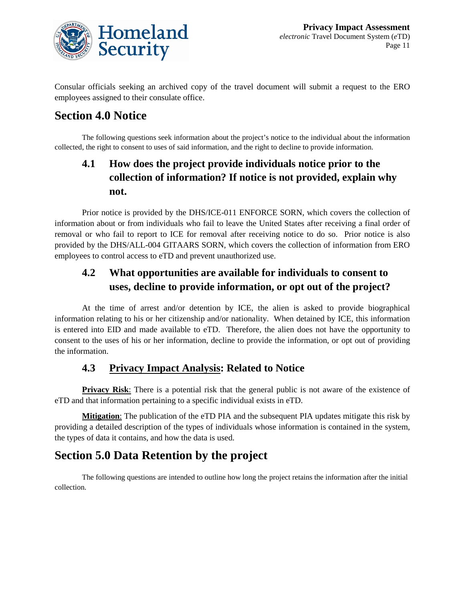

Consular officials seeking an archived copy of the travel document will submit a request to the ERO employees assigned to their consulate office.

## **Section 4.0 Notice**

The following questions seek information about the project's notice to the individual about the information collected, the right to consent to uses of said information, and the right to decline to provide information.

### **4.1 How does the project provide individuals notice prior to the collection of information? If notice is not provided, explain why not.**

Prior notice is provided by the DHS/ICE-011 ENFORCE SORN, which covers the collection of information about or from individuals who fail to leave the United States after receiving a final order of removal or who fail to report to ICE for removal after receiving notice to do so. Prior notice is also provided by the DHS/ALL-004 GITAARS SORN, which covers the collection of information from ERO employees to control access to eTD and prevent unauthorized use.

### **4.2 What opportunities are available for individuals to consent to uses, decline to provide information, or opt out of the project?**

At the time of arrest and/or detention by ICE, the alien is asked to provide biographical information relating to his or her citizenship and/or nationality. When detained by ICE, this information is entered into EID and made available to eTD. Therefore, the alien does not have the opportunity to consent to the uses of his or her information, decline to provide the information, or opt out of providing the information.

### **4.3 Privacy Impact Analysis: Related to Notice**

**Privacy Risk**: There is a potential risk that the general public is not aware of the existence of eTD and that information pertaining to a specific individual exists in eTD.

**Mitigation**: The publication of the eTD PIA and the subsequent PIA updates mitigate this risk by providing a detailed description of the types of individuals whose information is contained in the system, the types of data it contains, and how the data is used.

## **Section 5.0 Data Retention by the project**

The following questions are intended to outline how long the project retains the information after the initial collection.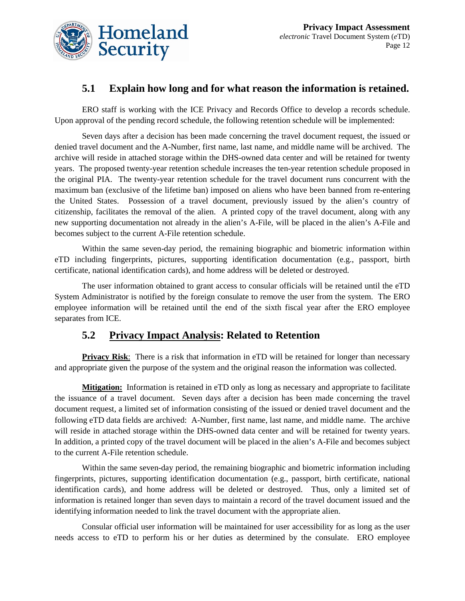

#### **5.1 Explain how long and for what reason the information is retained.**

ERO staff is working with the ICE Privacy and Records Office to develop a records schedule. Upon approval of the pending record schedule, the following retention schedule will be implemented:

Seven days after a decision has been made concerning the travel document request, the issued or denied travel document and the A-Number, first name, last name, and middle name will be archived. The archive will reside in attached storage within the DHS-owned data center and will be retained for twenty years. The proposed twenty-year retention schedule increases the ten-year retention schedule proposed in the original PIA. The twenty-year retention schedule for the travel document runs concurrent with the maximum ban (exclusive of the lifetime ban) imposed on aliens who have been banned from re-entering the United States. Possession of a travel document, previously issued by the alien's country of citizenship, facilitates the removal of the alien. A printed copy of the travel document, along with any new supporting documentation not already in the alien's A-File, will be placed in the alien's A-File and becomes subject to the current A-File retention schedule.

Within the same seven-day period, the remaining biographic and biometric information within eTD including fingerprints, pictures, supporting identification documentation (e.g., passport, birth certificate, national identification cards), and home address will be deleted or destroyed.

The user information obtained to grant access to consular officials will be retained until the eTD System Administrator is notified by the foreign consulate to remove the user from the system. The ERO employee information will be retained until the end of the sixth fiscal year after the ERO employee separates from ICE.

#### **5.2 Privacy Impact Analysis: Related to Retention**

**Privacy Risk**: There is a risk that information in eTD will be retained for longer than necessary and appropriate given the purpose of the system and the original reason the information was collected.

**Mitigation:** Information is retained in eTD only as long as necessary and appropriate to facilitate the issuance of a travel document. Seven days after a decision has been made concerning the travel document request, a limited set of information consisting of the issued or denied travel document and the following eTD data fields are archived: A-Number, first name, last name, and middle name. The archive will reside in attached storage within the DHS-owned data center and will be retained for twenty years. In addition, a printed copy of the travel document will be placed in the alien's A-File and becomes subject to the current A-File retention schedule.

Within the same seven-day period, the remaining biographic and biometric information including fingerprints, pictures, supporting identification documentation (e.g., passport, birth certificate, national identification cards), and home address will be deleted or destroyed. Thus, only a limited set of information is retained longer than seven days to maintain a record of the travel document issued and the identifying information needed to link the travel document with the appropriate alien.

Consular official user information will be maintained for user accessibility for as long as the user needs access to eTD to perform his or her duties as determined by the consulate. ERO employee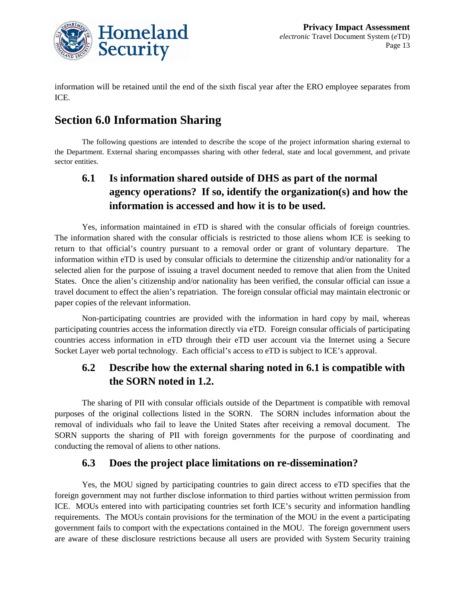

information will be retained until the end of the sixth fiscal year after the ERO employee separates from ICE.

## **Section 6.0 Information Sharing**

The following questions are intended to describe the scope of the project information sharing external to the Department. External sharing encompasses sharing with other federal, state and local government, and private sector entities.

### **6.1 Is information shared outside of DHS as part of the normal agency operations? If so, identify the organization(s) and how the information is accessed and how it is to be used.**

Yes, information maintained in eTD is shared with the consular officials of foreign countries. The information shared with the consular officials is restricted to those aliens whom ICE is seeking to return to that official's country pursuant to a removal order or grant of voluntary departure. The information within eTD is used by consular officials to determine the citizenship and/or nationality for a selected alien for the purpose of issuing a travel document needed to remove that alien from the United States. Once the alien's citizenship and/or nationality has been verified, the consular official can issue a travel document to effect the alien's repatriation. The foreign consular official may maintain electronic or paper copies of the relevant information.

Non-participating countries are provided with the information in hard copy by mail, whereas participating countries access the information directly via eTD. Foreign consular officials of participating countries access information in eTD through their eTD user account via the Internet using a Secure Socket Layer web portal technology. Each official's access to eTD is subject to ICE's approval.

### **6.2 Describe how the external sharing noted in 6.1 is compatible with the SORN noted in 1.2.**

The sharing of PII with consular officials outside of the Department is compatible with removal purposes of the original collections listed in the SORN. The SORN includes information about the removal of individuals who fail to leave the United States after receiving a removal document. The SORN supports the sharing of PII with foreign governments for the purpose of coordinating and conducting the removal of aliens to other nations.

#### **6.3 Does the project place limitations on re-dissemination?**

Yes, the MOU signed by participating countries to gain direct access to eTD specifies that the foreign government may not further disclose information to third parties without written permission from ICE. MOUs entered into with participating countries set forth ICE's security and information handling requirements. The MOUs contain provisions for the termination of the MOU in the event a participating government fails to comport with the expectations contained in the MOU. The foreign government users are aware of these disclosure restrictions because all users are provided with System Security training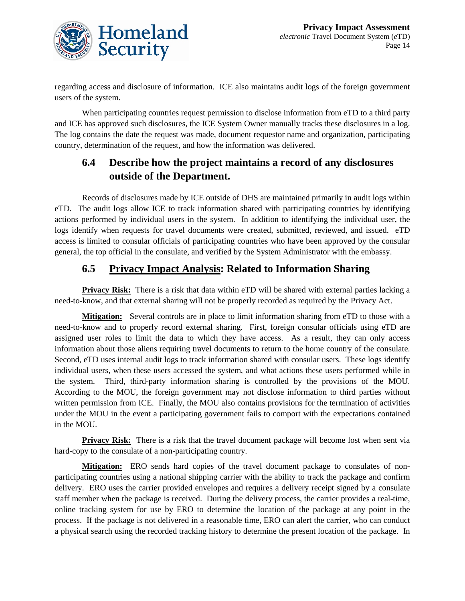

regarding access and disclosure of information. ICE also maintains audit logs of the foreign government users of the system.

When participating countries request permission to disclose information from eTD to a third party and ICE has approved such disclosures, the ICE System Owner manually tracks these disclosures in a log. The log contains the date the request was made, document requestor name and organization, participating country, determination of the request, and how the information was delivered.

### **6.4 Describe how the project maintains a record of any disclosures outside of the Department.**

Records of disclosures made by ICE outside of DHS are maintained primarily in audit logs within eTD. The audit logs allow ICE to track information shared with participating countries by identifying actions performed by individual users in the system. In addition to identifying the individual user, the logs identify when requests for travel documents were created, submitted, reviewed, and issued. eTD access is limited to consular officials of participating countries who have been approved by the consular general, the top official in the consulate, and verified by the System Administrator with the embassy.

### **6.5 Privacy Impact Analysis: Related to Information Sharing**

**Privacy Risk:** There is a risk that data within eTD will be shared with external parties lacking a need-to-know, and that external sharing will not be properly recorded as required by the Privacy Act.

**Mitigation:** Several controls are in place to limit information sharing from eTD to those with a need-to-know and to properly record external sharing. First, foreign consular officials using eTD are assigned user roles to limit the data to which they have access. As a result, they can only access information about those aliens requiring travel documents to return to the home country of the consulate. Second, eTD uses internal audit logs to track information shared with consular users. These logs identify individual users, when these users accessed the system, and what actions these users performed while in the system. Third, third-party information sharing is controlled by the provisions of the MOU. According to the MOU, the foreign government may not disclose information to third parties without written permission from ICE. Finally, the MOU also contains provisions for the termination of activities under the MOU in the event a participating government fails to comport with the expectations contained in the MOU.

**Privacy Risk:** There is a risk that the travel document package will become lost when sent via hard-copy to the consulate of a non-participating country.

**Mitigation:** ERO sends hard copies of the travel document package to consulates of nonparticipating countries using a national shipping carrier with the ability to track the package and confirm delivery. ERO uses the carrier provided envelopes and requires a delivery receipt signed by a consulate staff member when the package is received. During the delivery process, the carrier provides a real-time, online tracking system for use by ERO to determine the location of the package at any point in the process. If the package is not delivered in a reasonable time, ERO can alert the carrier, who can conduct a physical search using the recorded tracking history to determine the present location of the package. In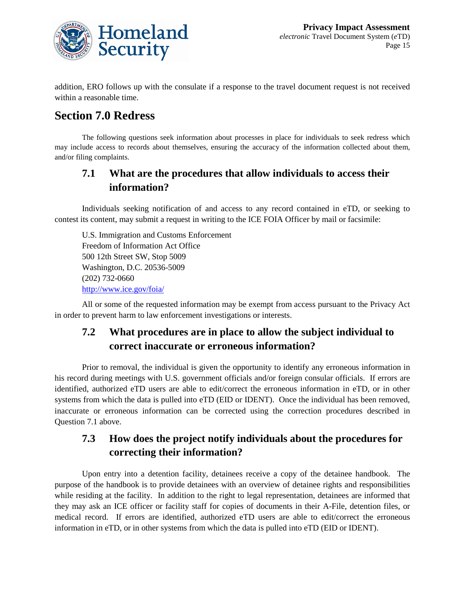

addition, ERO follows up with the consulate if a response to the travel document request is not received within a reasonable time.

## **Section 7.0 Redress**

The following questions seek information about processes in place for individuals to seek redress which may include access to records about themselves, ensuring the accuracy of the information collected about them, and/or filing complaints.

### **7.1 What are the procedures that allow individuals to access their information?**

Individuals seeking notification of and access to any record contained in eTD, or seeking to contest its content, may submit a request in writing to the ICE FOIA Officer by mail or facsimile:

U.S. Immigration and Customs Enforcement Freedom of Information Act Office 500 12th Street SW, Stop 5009 Washington, D.C. 20536-5009 (202) 732-0660 <http://www.ice.gov/foia/>

All or some of the requested information may be exempt from access pursuant to the Privacy Act in order to prevent harm to law enforcement investigations or interests.

### **7.2 What procedures are in place to allow the subject individual to correct inaccurate or erroneous information?**

Prior to removal, the individual is given the opportunity to identify any erroneous information in his record during meetings with U.S. government officials and/or foreign consular officials. If errors are identified, authorized eTD users are able to edit/correct the erroneous information in eTD, or in other systems from which the data is pulled into eTD (EID or IDENT). Once the individual has been removed, inaccurate or erroneous information can be corrected using the correction procedures described in Question 7.1 above.

### **7.3 How does the project notify individuals about the procedures for correcting their information?**

Upon entry into a detention facility, detainees receive a copy of the detainee handbook. The purpose of the handbook is to provide detainees with an overview of detainee rights and responsibilities while residing at the facility. In addition to the right to legal representation, detainees are informed that they may ask an ICE officer or facility staff for copies of documents in their A-File, detention files, or medical record. If errors are identified, authorized eTD users are able to edit/correct the erroneous information in eTD, or in other systems from which the data is pulled into eTD (EID or IDENT).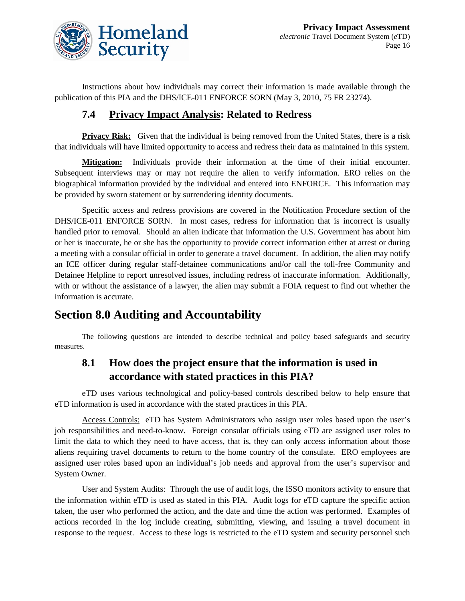

Instructions about how individuals may correct their information is made available through the publication of this PIA and the DHS/ICE-011 ENFORCE SORN (May 3, 2010, 75 FR 23274).

#### **7.4 Privacy Impact Analysis: Related to Redress**

**Privacy Risk:** Given that the individual is being removed from the United States, there is a risk that individuals will have limited opportunity to access and redress their data as maintained in this system.

**Mitigation:** Individuals provide their information at the time of their initial encounter. Subsequent interviews may or may not require the alien to verify information. ERO relies on the biographical information provided by the individual and entered into ENFORCE. This information may be provided by sworn statement or by surrendering identity documents.

Specific access and redress provisions are covered in the Notification Procedure section of the DHS/ICE-011 ENFORCE SORN. In most cases, redress for information that is incorrect is usually handled prior to removal. Should an alien indicate that information the U.S. Government has about him or her is inaccurate, he or she has the opportunity to provide correct information either at arrest or during a meeting with a consular official in order to generate a travel document. In addition, the alien may notify an ICE officer during regular staff-detainee communications and/or call the toll-free Community and Detainee Helpline to report unresolved issues, including redress of inaccurate information. Additionally, with or without the assistance of a lawyer, the alien may submit a FOIA request to find out whether the information is accurate.

## **Section 8.0 Auditing and Accountability**

The following questions are intended to describe technical and policy based safeguards and security measures.

### **8.1 How does the project ensure that the information is used in accordance with stated practices in this PIA?**

eTD uses various technological and policy-based controls described below to help ensure that eTD information is used in accordance with the stated practices in this PIA.

Access Controls: eTD has System Administrators who assign user roles based upon the user's job responsibilities and need-to-know. Foreign consular officials using eTD are assigned user roles to limit the data to which they need to have access, that is, they can only access information about those aliens requiring travel documents to return to the home country of the consulate. ERO employees are assigned user roles based upon an individual's job needs and approval from the user's supervisor and System Owner.

User and System Audits: Through the use of audit logs, the ISSO monitors activity to ensure that the information within eTD is used as stated in this PIA. Audit logs for eTD capture the specific action taken, the user who performed the action, and the date and time the action was performed. Examples of actions recorded in the log include creating, submitting, viewing, and issuing a travel document in response to the request. Access to these logs is restricted to the eTD system and security personnel such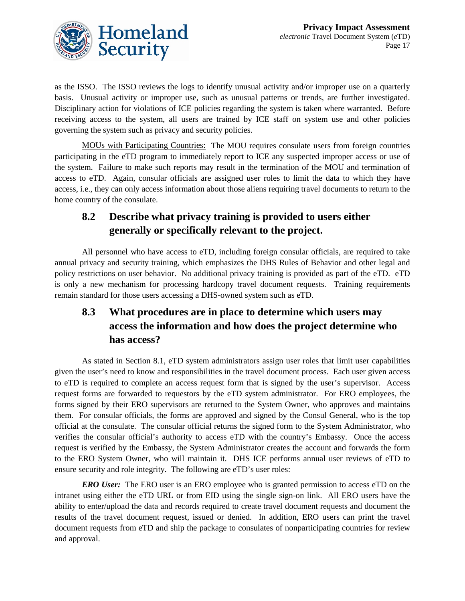

as the ISSO. The ISSO reviews the logs to identify unusual activity and/or improper use on a quarterly basis. Unusual activity or improper use, such as unusual patterns or trends, are further investigated. Disciplinary action for violations of ICE policies regarding the system is taken where warranted. Before receiving access to the system, all users are trained by ICE staff on system use and other policies governing the system such as privacy and security policies.

MOUs with Participating Countries: The MOU requires consulate users from foreign countries participating in the eTD program to immediately report to ICE any suspected improper access or use of the system. Failure to make such reports may result in the termination of the MOU and termination of access to eTD. Again, consular officials are assigned user roles to limit the data to which they have access, i.e., they can only access information about those aliens requiring travel documents to return to the home country of the consulate.

### **8.2 Describe what privacy training is provided to users either generally or specifically relevant to the project.**

All personnel who have access to eTD, including foreign consular officials, are required to take annual privacy and security training, which emphasizes the DHS Rules of Behavior and other legal and policy restrictions on user behavior. No additional privacy training is provided as part of the eTD. eTD is only a new mechanism for processing hardcopy travel document requests. Training requirements remain standard for those users accessing a DHS-owned system such as eTD.

## **8.3 What procedures are in place to determine which users may access the information and how does the project determine who has access?**

As stated in Section 8.1, eTD system administrators assign user roles that limit user capabilities given the user's need to know and responsibilities in the travel document process. Each user given access to eTD is required to complete an access request form that is signed by the user's supervisor. Access request forms are forwarded to requestors by the eTD system administrator. For ERO employees, the forms signed by their ERO supervisors are returned to the System Owner, who approves and maintains them. For consular officials, the forms are approved and signed by the Consul General, who is the top official at the consulate. The consular official returns the signed form to the System Administrator, who verifies the consular official's authority to access eTD with the country's Embassy. Once the access request is verified by the Embassy, the System Administrator creates the account and forwards the form to the ERO System Owner, who will maintain it. DHS ICE performs annual user reviews of eTD to ensure security and role integrity. The following are eTD's user roles:

*ERO User:* The ERO user is an ERO employee who is granted permission to access eTD on the intranet using either the eTD URL or from EID using the single sign-on link. All ERO users have the ability to enter/upload the data and records required to create travel document requests and document the results of the travel document request, issued or denied. In addition, ERO users can print the travel document requests from eTD and ship the package to consulates of nonparticipating countries for review and approval.